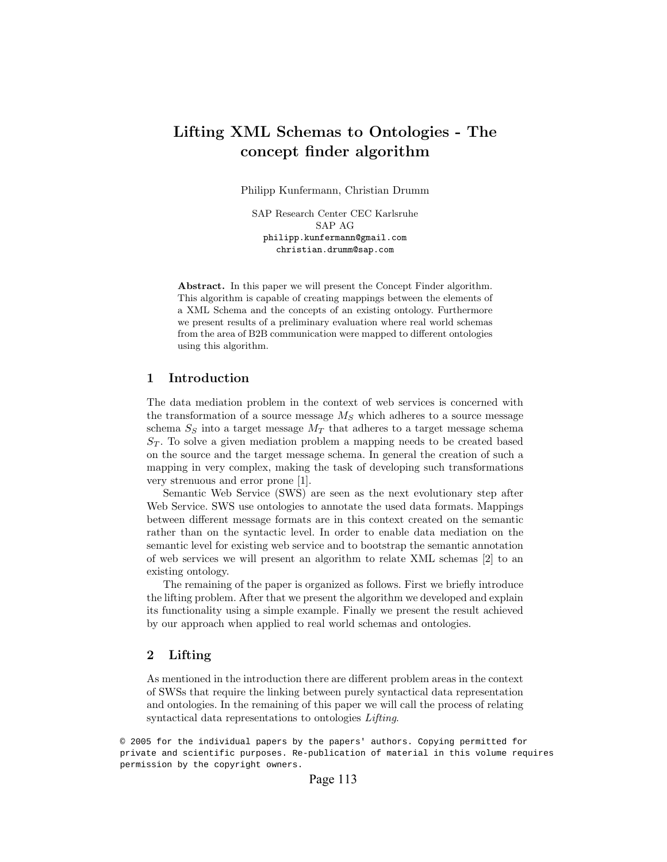# Lifting XML Schemas to Ontologies - The concept finder algorithm

Philipp Kunfermann, Christian Drumm

SAP Research Center CEC Karlsruhe SAP AG philipp.kunfermann@gmail.com christian.drumm@sap.com

Abstract. In this paper we will present the Concept Finder algorithm. This algorithm is capable of creating mappings between the elements of a XML Schema and the concepts of an existing ontology. Furthermore we present results of a preliminary evaluation where real world schemas from the area of B2B communication were mapped to different ontologies using this algorithm.

#### 1 Introduction

The data mediation problem in the context of web services is concerned with the transformation of a source message  $M<sub>S</sub>$  which adheres to a source message schema $S_S$  into a target message  $M_T$  that adheres to a target message schema  $S_T$ . To solve a given mediation problem a mapping needs to be created based on the source and the target message schema. In general the creation of such a mapping in very complex, making the task of developing such transformations very strenuous and error prone [1].

Semantic Web Service (SWS) are seen as the next evolutionary step after Web Service. SWS use ontologies to annotate the used data formats. Mappings between different message formats are in this context created on the semantic rather than on the syntactic level. In order to enable data mediation on the semantic level for existing web service and to bootstrap the semantic annotation of web services we will present an algorithm to relate XML schemas [2] to an existing ontology.

The remaining of the paper is organized as follows. First we briefly introduce the lifting problem. After that we present the algorithm we developed and explain its functionality using a simple example. Finally we present the result achieved by our approach when applied to real world schemas and ontologies.

## 2 Lifting

As mentioned in the introduction there are different problem areas in the context of SWSs that require the linking between purely syntactical data representation and ontologies. In the remaining of this paper we will call the process of relating syntactical data representations to ontologies *Lifting*.

© 2005 for the individual papers by the papers' authors. Copying permitted for private and scientific purposes. Re-publication of material in this volume requires permission by the copyright owners.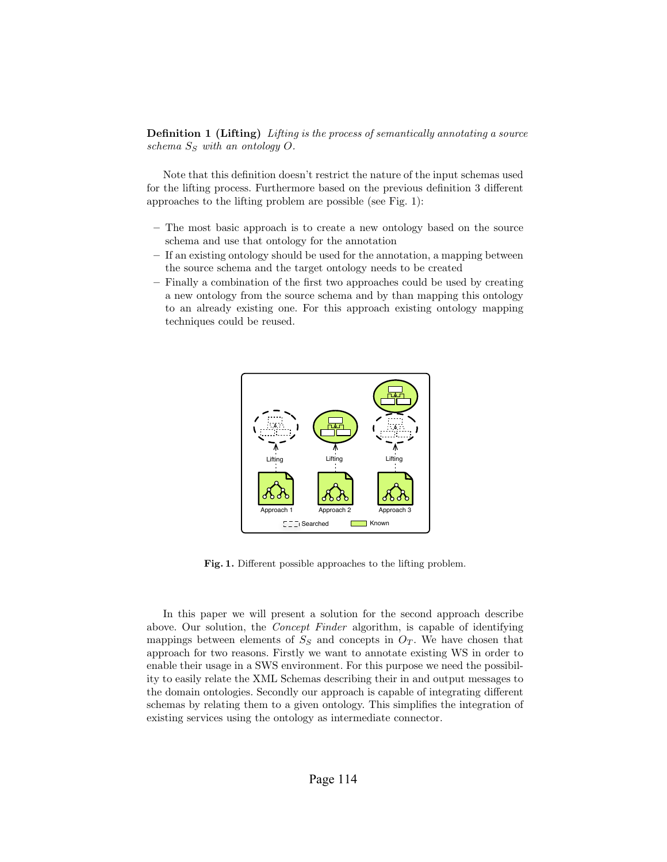Definition 1 (Lifting) Lifting is the process of semantically annotating a source schema  $S<sub>S</sub>$  with an ontology O.

Note that this definition doesn't restrict the nature of the input schemas used for the lifting process. Furthermore based on the previous definition 3 different approaches to the lifting problem are possible (see Fig. 1):

- The most basic approach is to create a new ontology based on the source schema and use that ontology for the annotation
- If an existing ontology should be used for the annotation, a mapping between the source schema and the target ontology needs to be created
- Finally a combination of the first two approaches could be used by creating a new ontology from the source schema and by than mapping this ontology to an already existing one. For this approach existing ontology mapping techniques could be reused.



Fig. 1. Different possible approaches to the lifting problem.

In this paper we will present a solution for the second approach describe above. Our solution, the Concept Finder algorithm, is capable of identifying mappings between elements of  $S<sub>S</sub>$  and concepts in  $O<sub>T</sub>$ . We have chosen that approach for two reasons. Firstly we want to annotate existing WS in order to enable their usage in a SWS environment. For this purpose we need the possibility to easily relate the XML Schemas describing their in and output messages to the domain ontologies. Secondly our approach is capable of integrating different schemas by relating them to a given ontology. This simplifies the integration of existing services using the ontology as intermediate connector.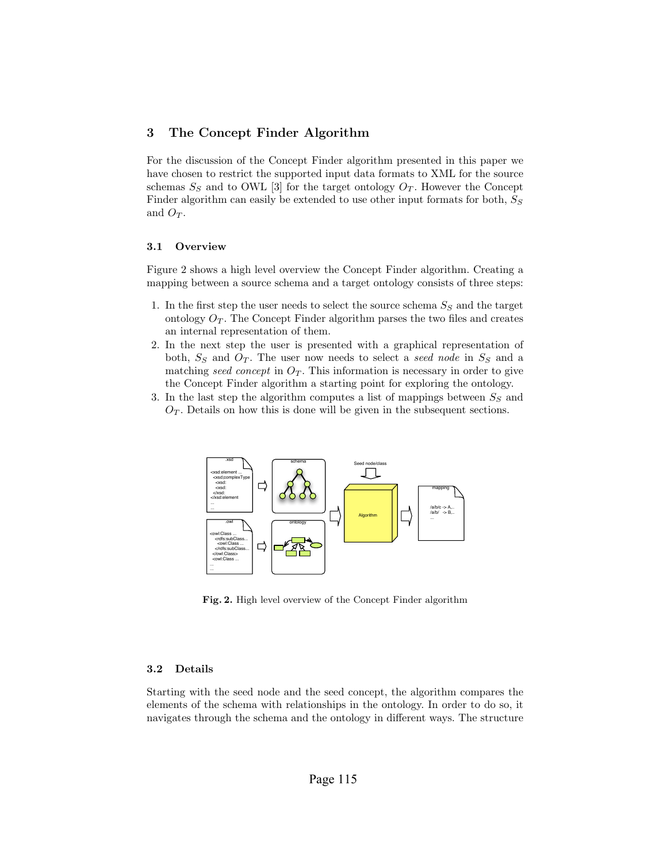### 3 The Concept Finder Algorithm

For the discussion of the Concept Finder algorithm presented in this paper we have chosen to restrict the supported input data formats to XML for the source schemas  $S_S$  and to OWL [3] for the target ontology  $O_T$ . However the Concept Finder algorithm can easily be extended to use other input formats for both,  $S_S$ and  $O_T$ .

#### 3.1 Overview

Figure 2 shows a high level overview the Concept Finder algorithm. Creating a mapping between a source schema and a target ontology consists of three steps:

- 1. In the first step the user needs to select the source schema  $S_S$  and the target ontology  $O_T$ . The Concept Finder algorithm parses the two files and creates an internal representation of them.
- 2. In the next step the user is presented with a graphical representation of both,  $S_S$  and  $O_T$ . The user now needs to select a seed node in  $S_S$  and a matching seed concept in  $O_T$ . This information is necessary in order to give the Concept Finder algorithm a starting point for exploring the ontology.
- 3. In the last step the algorithm computes a list of mappings between  $S_S$  and  $O_T$ . Details on how this is done will be given in the subsequent sections.



Fig. 2. High level overview of the Concept Finder algorithm

#### 3.2 Details

Starting with the seed node and the seed concept, the algorithm compares the elements of the schema with relationships in the ontology. In order to do so, it navigates through the schema and the ontology in different ways. The structure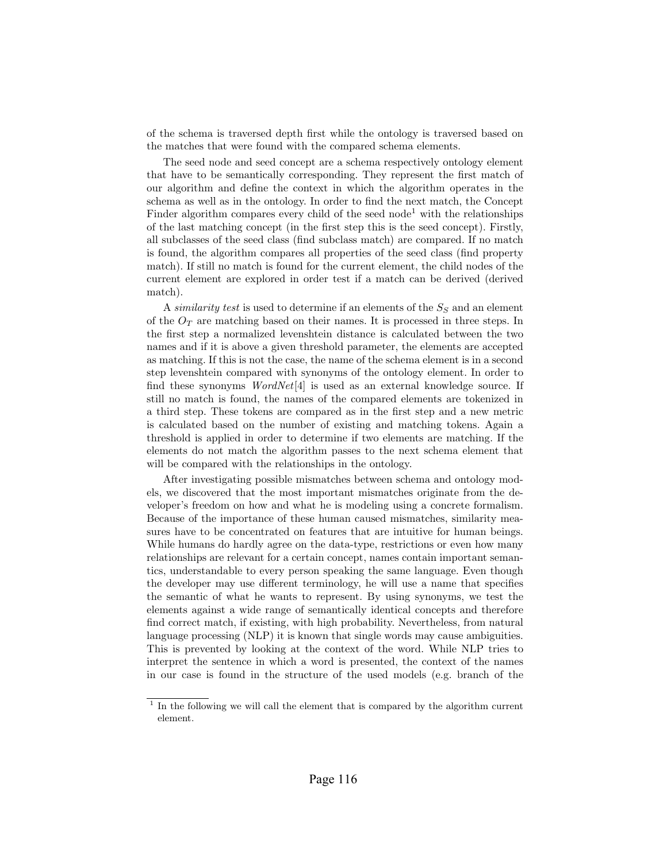of the schema is traversed depth first while the ontology is traversed based on the matches that were found with the compared schema elements.

The seed node and seed concept are a schema respectively ontology element that have to be semantically corresponding. They represent the first match of our algorithm and define the context in which the algorithm operates in the schema as well as in the ontology. In order to find the next match, the Concept Finder algorithm compares every child of the seed node<sup>1</sup> with the relationships of the last matching concept (in the first step this is the seed concept). Firstly, all subclasses of the seed class (find subclass match) are compared. If no match is found, the algorithm compares all properties of the seed class (find property match). If still no match is found for the current element, the child nodes of the current element are explored in order test if a match can be derived (derived match).

A similarity test is used to determine if an elements of the  $S<sub>S</sub>$  and an element of the  $O_T$  are matching based on their names. It is processed in three steps. In the first step a normalized levenshtein distance is calculated between the two names and if it is above a given threshold parameter, the elements are accepted as matching. If this is not the case, the name of the schema element is in a second step levenshtein compared with synonyms of the ontology element. In order to find these synonyms  $WordNet[4]$  is used as an external knowledge source. If still no match is found, the names of the compared elements are tokenized in a third step. These tokens are compared as in the first step and a new metric is calculated based on the number of existing and matching tokens. Again a threshold is applied in order to determine if two elements are matching. If the elements do not match the algorithm passes to the next schema element that will be compared with the relationships in the ontology.

After investigating possible mismatches between schema and ontology models, we discovered that the most important mismatches originate from the developer's freedom on how and what he is modeling using a concrete formalism. Because of the importance of these human caused mismatches, similarity measures have to be concentrated on features that are intuitive for human beings. While humans do hardly agree on the data-type, restrictions or even how many relationships are relevant for a certain concept, names contain important semantics, understandable to every person speaking the same language. Even though the developer may use different terminology, he will use a name that specifies the semantic of what he wants to represent. By using synonyms, we test the elements against a wide range of semantically identical concepts and therefore find correct match, if existing, with high probability. Nevertheless, from natural language processing (NLP) it is known that single words may cause ambiguities. This is prevented by looking at the context of the word. While NLP tries to interpret the sentence in which a word is presented, the context of the names in our case is found in the structure of the used models (e.g. branch of the

<sup>&</sup>lt;sup>1</sup> In the following we will call the element that is compared by the algorithm current element.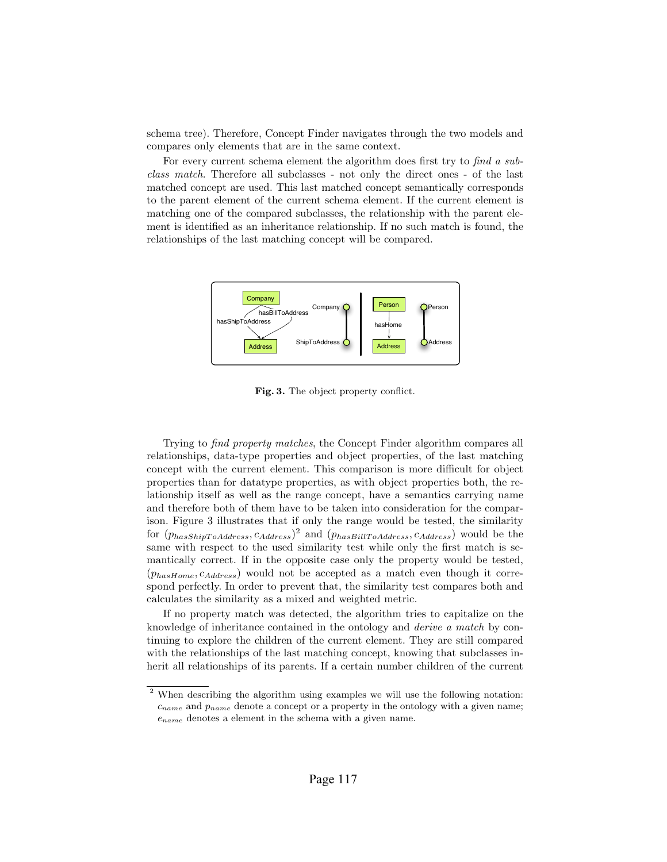schema tree). Therefore, Concept Finder navigates through the two models and compares only elements that are in the same context.

For every current schema element the algorithm does first try to find a subclass match. Therefore all subclasses - not only the direct ones - of the last matched concept are used. This last matched concept semantically corresponds to the parent element of the current schema element. If the current element is matching one of the compared subclasses, the relationship with the parent element is identified as an inheritance relationship. If no such match is found, the relationships of the last matching concept will be compared.



Fig. 3. The object property conflict.

Trying to find property matches, the Concept Finder algorithm compares all relationships, data-type properties and object properties, of the last matching concept with the current element. This comparison is more difficult for object properties than for datatype properties, as with object properties both, the relationship itself as well as the range concept, have a semantics carrying name and therefore both of them have to be taken into consideration for the comparison. Figure 3 illustrates that if only the range would be tested, the similarity for  $(p_{hasShipToAddress}, c_{Address})^2$  and  $(p_{hasBillToAddress}, c_{Address})$  would be the same with respect to the used similarity test while only the first match is semantically correct. If in the opposite case only the property would be tested,  $(p_{hasHome}, c_{Address})$  would not be accepted as a match even though it correspond perfectly. In order to prevent that, the similarity test compares both and calculates the similarity as a mixed and weighted metric.

If no property match was detected, the algorithm tries to capitalize on the knowledge of inheritance contained in the ontology and derive a match by continuing to explore the children of the current element. They are still compared with the relationships of the last matching concept, knowing that subclasses inherit all relationships of its parents. If a certain number children of the current

<sup>2</sup> When describing the algorithm using examples we will use the following notation:  $c_{name}$  and  $p_{name}$  denote a concept or a property in the ontology with a given name;  $e_{name}$  denotes a element in the schema with a given name.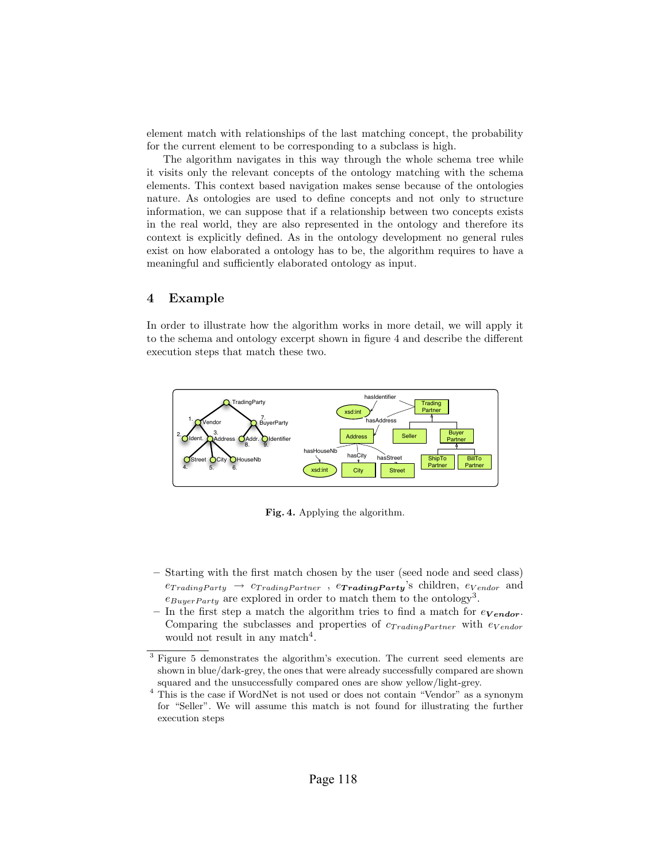element match with relationships of the last matching concept, the probability for the current element to be corresponding to a subclass is high.

The algorithm navigates in this way through the whole schema tree while it visits only the relevant concepts of the ontology matching with the schema elements. This context based navigation makes sense because of the ontologies nature. As ontologies are used to define concepts and not only to structure information, we can suppose that if a relationship between two concepts exists in the real world, they are also represented in the ontology and therefore its context is explicitly defined. As in the ontology development no general rules exist on how elaborated a ontology has to be, the algorithm requires to have a meaningful and sufficiently elaborated ontology as input.

## 4 Example

In order to illustrate how the algorithm works in more detail, we will apply it to the schema and ontology excerpt shown in figure 4 and describe the different execution steps that match these two.



Fig. 4. Applying the algorithm.

- Starting with the first match chosen by the user (seed node and seed class)  $e_{Trading Party} \rightarrow c_{Trading Partner}$ ,  $e_{Trading Partner}$  ,  $e_{Trading Party}$ 's children,  $e_{Vendor}$  and  $e_{Buyer Party}$  are explored in order to match them to the ontology<sup>3</sup>.
- In the first step a match the algorithm tries to find a match for  $e_{V \text{endor}}$ . Comparing the subclasses and properties of  $c_{Tradina Partner}$  with  $e_{Vendor}$ would not result in any match<sup>4</sup>.

<sup>3</sup> Figure 5 demonstrates the algorithm's execution. The current seed elements are shown in blue/dark-grey, the ones that were already successfully compared are shown squared and the unsuccessfully compared ones are show yellow/light-grey.

<sup>4</sup> This is the case if WordNet is not used or does not contain "Vendor" as a synonym for "Seller". We will assume this match is not found for illustrating the further execution steps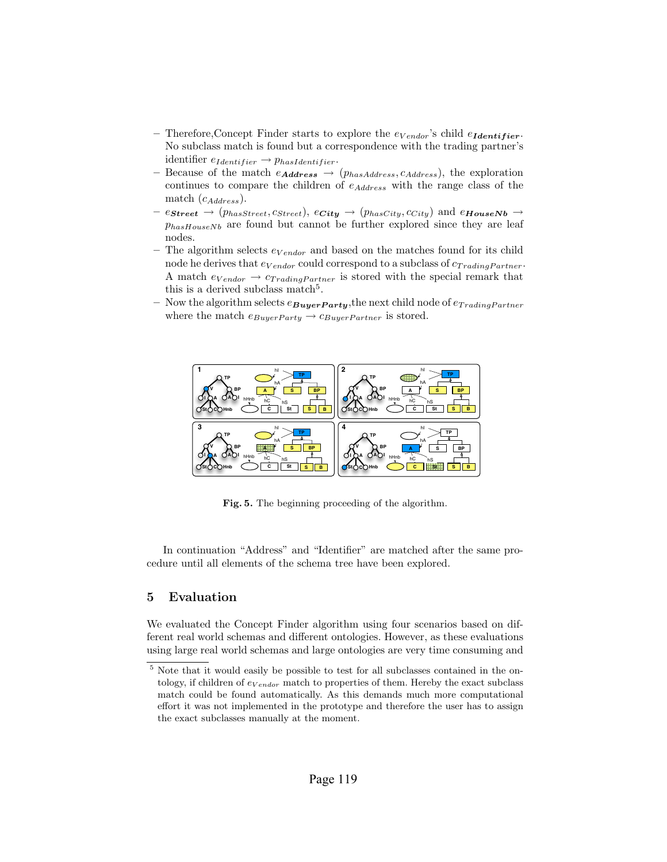- Therefore, Concept Finder starts to explore the  $e_{Vendor}$ 's child  $e_{Identity}$ . No subclass match is found but a correspondence with the trading partner's identifier  $e_{Identity} \rightarrow p_{hasIdentifier}$ .
- Because of the match  $e_{Address} \rightarrow (p_{hasAddress}, c_{Address})$ , the exploration continues to compare the children of  $e_{Address}$  with the range class of the match  $(c_{Address})$ .
- $e_{\textbf{Street}} \rightarrow (p_{hasStreet}, c_{Street}), e_{\textbf{City}} \rightarrow (p_{hasCity}, c_{City})$  and  $e_{\textbf{HouseNb}} \rightarrow$  $p_{hasHouseNb}$  are found but cannot be further explored since they are leaf nodes.
- The algorithm selects  $e_{Vendor}$  and based on the matches found for its child node he derives that  $e_{V \text{endor}}$  could correspond to a subclass of  $c_{Tradina Partner}$ . A match  $e_{Vendor} \rightarrow c_{Trading Partner}$  is stored with the special remark that this is a derived subclass match<sup>5</sup>.
- Now the algorithm selects  $e_{\text{Buyer} \textbf{Party}}$ , the next child node of  $e_{\text{Trading} \textbf{Partner}}$ where the match  $e_{Buyer Party} \rightarrow c_{Buyer Partner}$  is stored.



Fig. 5. The beginning proceeding of the algorithm.

In continuation "Address" and "Identifier" are matched after the same procedure until all elements of the schema tree have been explored.

### 5 Evaluation

We evaluated the Concept Finder algorithm using four scenarios based on different real world schemas and different ontologies. However, as these evaluations using large real world schemas and large ontologies are very time consuming and

<sup>&</sup>lt;sup>5</sup> Note that it would easily be possible to test for all subclasses contained in the ontology, if children of  $e_{Vendor}$  match to properties of them. Hereby the exact subclass match could be found automatically. As this demands much more computational effort it was not implemented in the prototype and therefore the user has to assign the exact subclasses manually at the moment.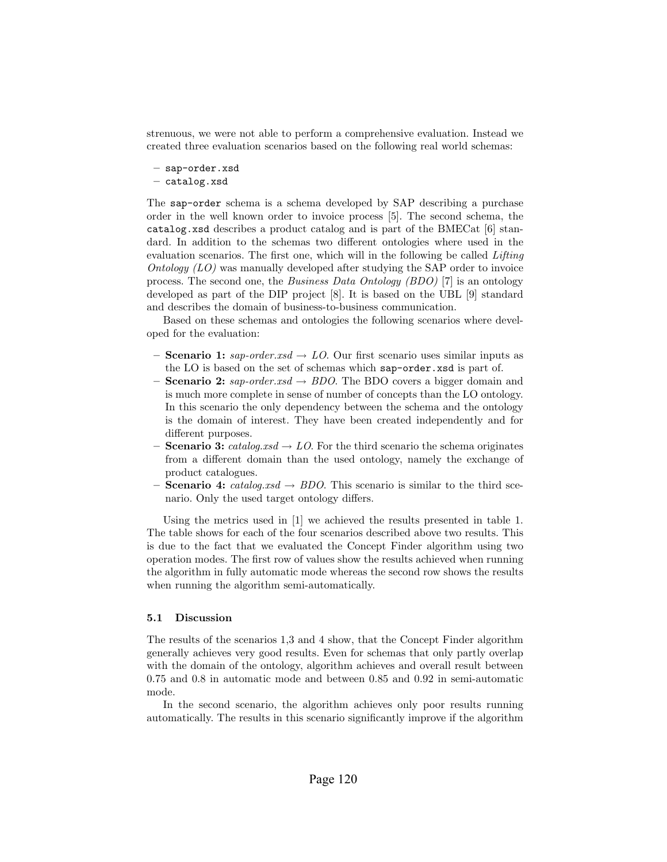strenuous, we were not able to perform a comprehensive evaluation. Instead we created three evaluation scenarios based on the following real world schemas:

- sap-order.xsd
- catalog.xsd

The sap-order schema is a schema developed by SAP describing a purchase order in the well known order to invoice process [5]. The second schema, the catalog.xsd describes a product catalog and is part of the BMECat [6] standard. In addition to the schemas two different ontologies where used in the evaluation scenarios. The first one, which will in the following be called *Lifting* Ontology (LO) was manually developed after studying the SAP order to invoice process. The second one, the Business Data Ontology (BDO) [7] is an ontology developed as part of the DIP project [8]. It is based on the UBL [9] standard and describes the domain of business-to-business communication.

Based on these schemas and ontologies the following scenarios where developed for the evaluation:

- Scenario 1:  $\textit{gap-order}.\textit{xsd} \rightarrow LO$ . Our first scenario uses similar inputs as the LO is based on the set of schemas which sap-order.xsd is part of.
- **Scenario 2:** sap-order.xsd  $\rightarrow BDO$ . The BDO covers a bigger domain and is much more complete in sense of number of concepts than the LO ontology. In this scenario the only dependency between the schema and the ontology is the domain of interest. They have been created independently and for different purposes.
- Scenario 3: catalog.xsd  $\rightarrow$  LO. For the third scenario the schema originates from a different domain than the used ontology, namely the exchange of product catalogues.
- Scenario 4: catalog.xsd  $\rightarrow BDO$ . This scenario is similar to the third scenario. Only the used target ontology differs.

Using the metrics used in [1] we achieved the results presented in table 1. The table shows for each of the four scenarios described above two results. This is due to the fact that we evaluated the Concept Finder algorithm using two operation modes. The first row of values show the results achieved when running the algorithm in fully automatic mode whereas the second row shows the results when running the algorithm semi-automatically.

#### 5.1 Discussion

The results of the scenarios 1,3 and 4 show, that the Concept Finder algorithm generally achieves very good results. Even for schemas that only partly overlap with the domain of the ontology, algorithm achieves and overall result between 0.75 and 0.8 in automatic mode and between 0.85 and 0.92 in semi-automatic mode.

In the second scenario, the algorithm achieves only poor results running automatically. The results in this scenario significantly improve if the algorithm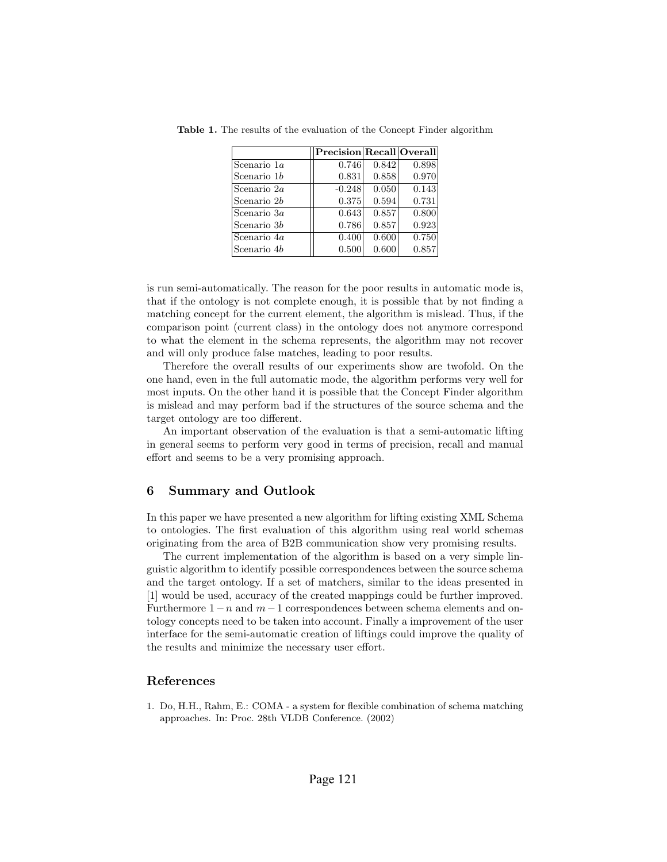|               | Precision Recall Overall |       |       |
|---------------|--------------------------|-------|-------|
| Scenario 1a   | 0.746                    | 0.842 | 0.898 |
| Scenario $1b$ | 0.831                    | 0.858 | 0.970 |
| Scenario $2a$ | $-0.248$                 | 0.050 | 0.143 |
| Scenario 2b   | 0.375                    | 0.594 | 0.731 |
| Scenario 3a   | 0.643                    | 0.857 | 0.800 |
| Scenario $3b$ | 0.786                    | 0.857 | 0.923 |
| Scenario 4a   | 0.400                    | 0.600 | 0.750 |
| Scenario 4b   | 0.500                    | 0.600 | 0.857 |

Table 1. The results of the evaluation of the Concept Finder algorithm

is run semi-automatically. The reason for the poor results in automatic mode is, that if the ontology is not complete enough, it is possible that by not finding a matching concept for the current element, the algorithm is mislead. Thus, if the comparison point (current class) in the ontology does not anymore correspond to what the element in the schema represents, the algorithm may not recover and will only produce false matches, leading to poor results.

Therefore the overall results of our experiments show are twofold. On the one hand, even in the full automatic mode, the algorithm performs very well for most inputs. On the other hand it is possible that the Concept Finder algorithm is mislead and may perform bad if the structures of the source schema and the target ontology are too different.

An important observation of the evaluation is that a semi-automatic lifting in general seems to perform very good in terms of precision, recall and manual effort and seems to be a very promising approach.

## 6 Summary and Outlook

In this paper we have presented a new algorithm for lifting existing XML Schema to ontologies. The first evaluation of this algorithm using real world schemas originating from the area of B2B communication show very promising results.

The current implementation of the algorithm is based on a very simple linguistic algorithm to identify possible correspondences between the source schema and the target ontology. If a set of matchers, similar to the ideas presented in [1] would be used, accuracy of the created mappings could be further improved. Furthermore  $1-n$  and  $m-1$  correspondences between schema elements and ontology concepts need to be taken into account. Finally a improvement of the user interface for the semi-automatic creation of liftings could improve the quality of the results and minimize the necessary user effort.

## References

1. Do, H.H., Rahm, E.: COMA - a system for flexible combination of schema matching approaches. In: Proc. 28th VLDB Conference. (2002)